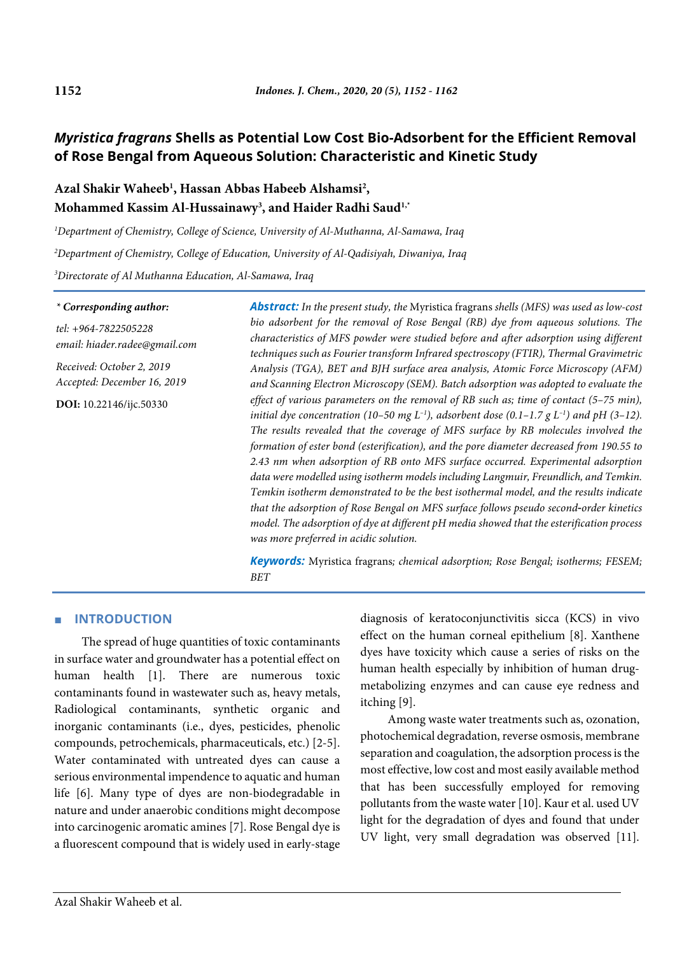# *Myristica fragrans* **Shells as Potential Low Cost Bio-Adsorbent for the Efficient Removal of Rose Bengal from Aqueous Solution: Characteristic and Kinetic Study**

# **Azal Shakir Waheeb1 , Hassan Abbas Habeeb Alshamsi2 , Mohammed Kassim Al-Hussainawy3 , and Haider Radhi Saud1,\***

*1 Department of Chemistry, College of Science, University of Al-Muthanna, Al-Samawa, Iraq*

*2 Department of Chemistry, College of Education, University of Al-Qadisiyah, Diwaniya, Iraq*

*3 Directorate of Al Muthanna Education, Al-Samawa, Iraq*

#### *\* Corresponding author:*

*tel: +964-7822505228 email: hiader.radee@gmail.com*

*Received: October 2, 2019 Accepted: December 16, 2019*

**DOI:** 10.22146/ijc.50330

*Abstract: In the present study, the* Myristica fragrans *shells (MFS) was used as low-cost bio adsorbent for the removal of Rose Bengal (RB) dye from aqueous solutions. The characteristics of MFS powder were studied before and after adsorption using different techniques such as Fourier transform Infrared spectroscopy (FTIR), Thermal Gravimetric Analysis (TGA), BET and BJH surface area analysis, Atomic Force Microscopy (AFM) and Scanning Electron Microscopy (SEM). Batch adsorption was adopted to evaluate the effect of various parameters on the removal of RB such as; time of contact (5–75 min), initial dye concentration (10–50 mg L<sup>-1</sup>), adsorbent dose (0.1–1.7 g L<sup>-1</sup>) and pH (3–12). The results revealed that the coverage of MFS surface by RB molecules involved the formation of ester bond (esterification), and the pore diameter decreased from 190.55 to 2.43 nm when adsorption of RB onto MFS surface occurred. Experimental adsorption data were modelled using isotherm models including Langmuir, Freundlich, and Temkin. Temkin isotherm demonstrated to be the best isothermal model, and the results indicate that the adsorption of Rose Bengal on MFS surface follows pseudo second*-*order kinetics model. The adsorption of dye at different pH media showed that the esterification process was more preferred in acidic solution.*

*Keywords:* Myristica fragrans*; chemical adsorption; Rose Bengal; isotherms; FESEM; BET*

# ■ **INTRODUCTION**

The spread of huge quantities of toxic contaminants in surface water and groundwater has a potential effect on human health [1]. There are numerous toxic contaminants found in wastewater such as, heavy metals, Radiological contaminants, synthetic organic and inorganic contaminants (i.e., dyes, pesticides, phenolic compounds, petrochemicals, pharmaceuticals, etc.) [2-5]. Water contaminated with untreated dyes can cause a serious environmental impendence to aquatic and human life [6]. Many type of dyes are non-biodegradable in nature and under anaerobic conditions might decompose into carcinogenic aromatic amines [7]. Rose Bengal dye is a fluorescent compound that is widely used in early-stage diagnosis of keratoconjunctivitis sicca (KCS) in vivo effect on the human corneal epithelium [8]. Xanthene dyes have toxicity which cause a series of risks on the human health especially by inhibition of human drugmetabolizing enzymes and can cause eye redness and itching [9].

Among waste water treatments such as, ozonation, photochemical degradation, reverse osmosis, membrane separation and coagulation, the adsorption process is the most effective, low cost and most easily available method that has been successfully employed for removing pollutants from the waste water [10]. Kaur et al. used UV light for the degradation of dyes and found that under UV light, very small degradation was observed [11].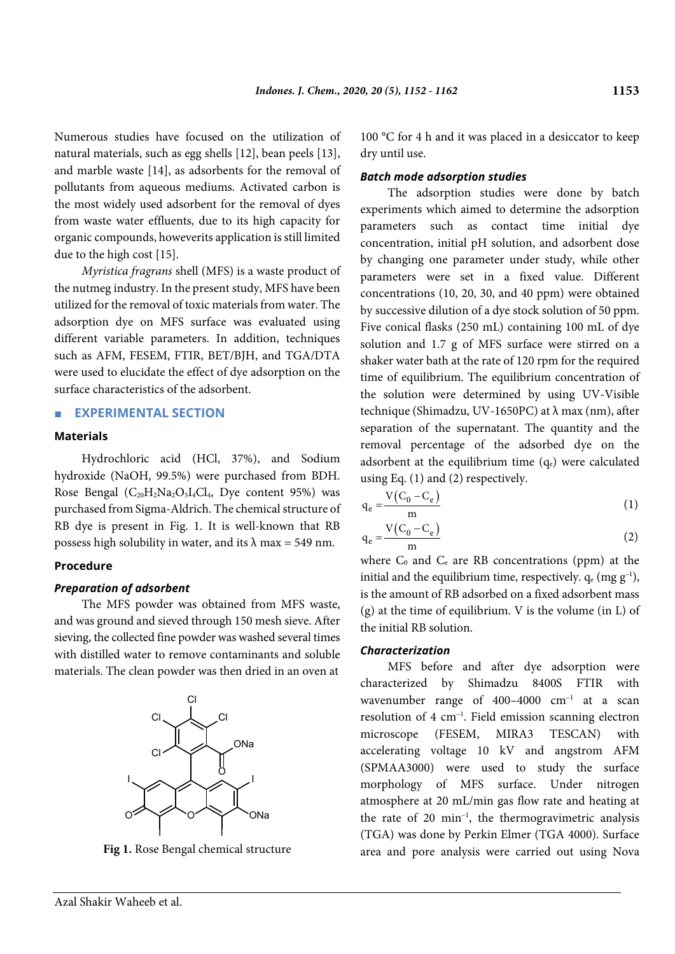Numerous studies have focused on the utilization of natural materials, such as egg shells [12], bean peels [13], and marble waste [14], as adsorbents for the removal of pollutants from aqueous mediums. Activated carbon is the most widely used adsorbent for the removal of dyes from waste water effluents, due to its high capacity for organic compounds, howeverits application is still limited due to the high cost [15].

*Myristica fragrans* shell (MFS) is a waste product of the nutmeg industry. In the present study, MFS have been utilized for the removal of toxic materials from water. The adsorption dye on MFS surface was evaluated using different variable parameters. In addition, techniques such as AFM, FESEM, FTIR, BET/BJH, and TGA/DTA were used to elucidate the effect of dye adsorption on the surface characteristics of the adsorbent.

## ■ **EXPERIMENTAL SECTION**

#### **Materials**

Hydrochloric acid (HCl, 37%), and Sodium hydroxide (NaOH, 99.5%) were purchased from BDH. Rose Bengal  $(C_{20}H_2Na_2O_5I_4Cl_4$ , Dye content 95%) was purchased from Sigma-Aldrich. The chemical structure of RB dye is present in Fig. 1. It is well-known that RB possess high solubility in water, and its  $\lambda$  max = 549 nm.

# **Procedure**

## *Preparation of adsorbent*

The MFS powder was obtained from MFS waste, and was ground and sieved through 150 mesh sieve. After sieving, the collected fine powder was washed several times with distilled water to remove contaminants and soluble materials. The clean powder was then dried in an oven at



**Fig 1.** Rose Bengal chemical structure

100 °C for 4 h and it was placed in a desiccator to keep dry until use.

### *Batch mode adsorption studies*

The adsorption studies were done by batch experiments which aimed to determine the adsorption parameters such as contact time initial dye concentration, initial pH solution, and adsorbent dose by changing one parameter under study, while other parameters were set in a fixed value. Different concentrations (10, 20, 30, and 40 ppm) were obtained by successive dilution of a dye stock solution of 50 ppm. Five conical flasks (250 mL) containing 100 mL of dye solution and 1.7 g of MFS surface were stirred on a shaker water bath at the rate of 120 rpm for the required time of equilibrium. The equilibrium concentration of the solution were determined by using UV-Visible technique (Shimadzu, UV-1650PC) at  $λ$  max (nm), after separation of the supernatant. The quantity and the removal percentage of the adsorbed dye on the adsorbent at the equilibrium time  $(q_e)$  were calculated using Eq. (1) and (2) respectively.

$$
q_e = \frac{V(C_0 - C_e)}{m} \tag{1}
$$

$$
q_e = \frac{V(C_0 - C_e)}{m}
$$
 (2)

where  $C_0$  and  $C_e$  are RB concentrations (ppm) at the initial and the equilibrium time, respectively.  $q_e$  (mg  $g^{-1}$ ), is the amount of RB adsorbed on a fixed adsorbent mass (g) at the time of equilibrium. V is the volume (in L) of the initial RB solution.

#### *Characterization*

MFS before and after dye adsorption were characterized by Shimadzu 8400S FTIR with wavenumber range of  $400-4000$   $cm^{-1}$  at a scan resolution of 4 cm–1 . Field emission scanning electron microscope (FESEM, MIRA3 TESCAN) with accelerating voltage 10 kV and angstrom AFM (SPMAA3000) were used to study the surface morphology of MFS surface. Under nitrogen atmosphere at 20 mL/min gas flow rate and heating at the rate of 20 min–1 , the thermogravimetric analysis (TGA) was done by Perkin Elmer (TGA 4000). Surface area and pore analysis were carried out using Nova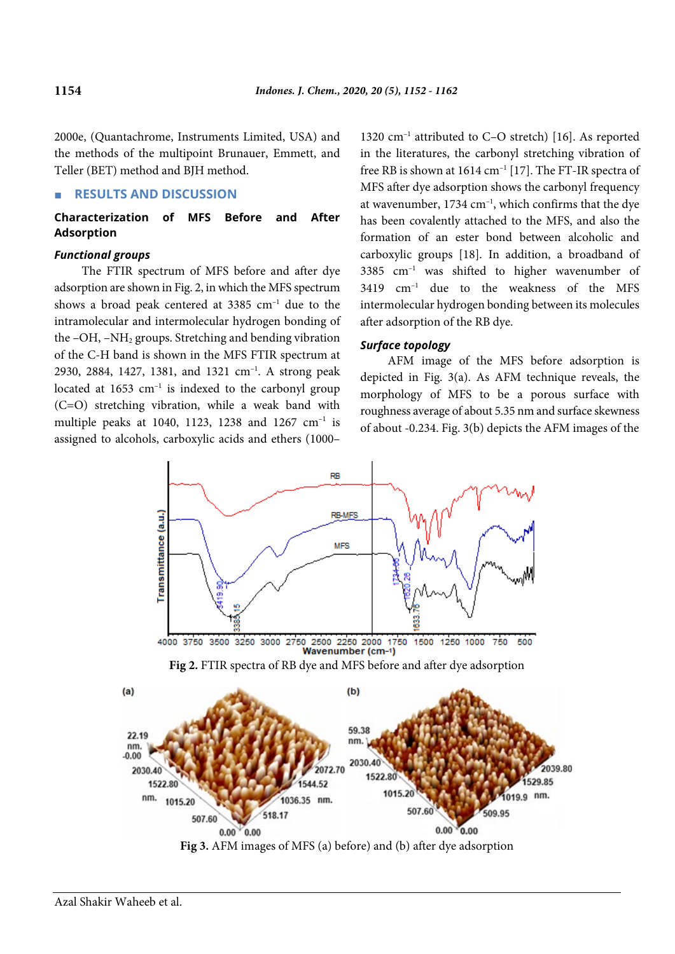2000e, (Quantachrome, Instruments Limited, USA) and the methods of the multipoint Brunauer, Emmett, and Teller (BET) method and BJH method.

## ■ **RESULTS AND DISCUSSION**

**Characterization of MFS Before and After Adsorption**

# *Functional groups*

The FTIR spectrum of MFS before and after dye adsorption are shown in Fig. 2, in which the MFS spectrum shows a broad peak centered at  $3385 \text{ cm}^{-1}$  due to the intramolecular and intermolecular hydrogen bonding of the –OH, –NH2 groups. Stretching and bending vibration of the C-H band is shown in the MFS FTIR spectrum at 2930, 2884, 1427, 1381, and 1321 cm<sup>-1</sup>. A strong peak located at 1653 cm<sup>-1</sup> is indexed to the carbonyl group (C=O) stretching vibration, while a weak band with multiple peaks at 1040, 1123, 1238 and 1267 cm–1 is assigned to alcohols, carboxylic acids and ethers (1000–

1320 cm<sup>-1</sup> attributed to C-O stretch) [16]. As reported in the literatures, the carbonyl stretching vibration of free RB is shown at  $1614 \text{ cm}^{-1}$  [17]. The FT-IR spectra of MFS after dye adsorption shows the carbonyl frequency at wavenumber,  $1734 \text{ cm}^{-1}$ , which confirms that the dye has been covalently attached to the MFS, and also the formation of an ester bond between alcoholic and carboxylic groups [18]. In addition, a broadband of  $3385$  cm<sup>-1</sup> was shifted to higher wavenumber of 3419 cm–1 due to the weakness of the MFS intermolecular hydrogen bonding between its molecules after adsorption of the RB dye.

### *Surface topology*

AFM image of the MFS before adsorption is depicted in Fig. 3(a). As AFM technique reveals, the morphology of MFS to be a porous surface with roughness average of about 5.35 nm and surface skewness of about -0.234. Fig. 3(b) depicts the AFM images of the





 $0.00 \times 0.00$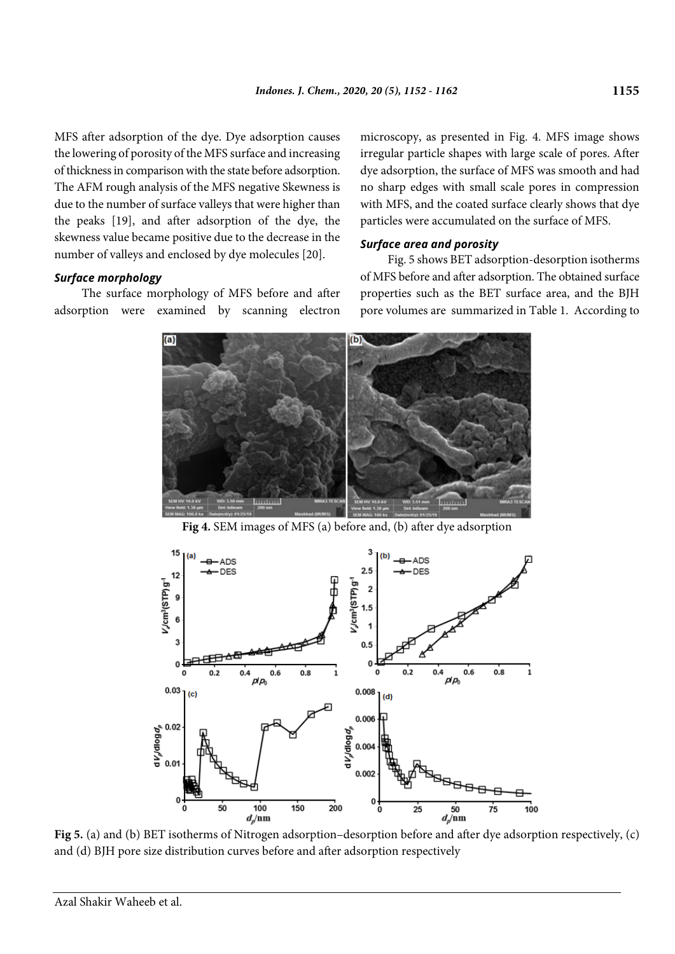MFS after adsorption of the dye. Dye adsorption causes the lowering of porosity of the MFS surface and increasing of thickness in comparison with the state before adsorption. The AFM rough analysis of the MFS negative Skewness is due to the number of surface valleys that were higher than the peaks [19], and after adsorption of the dye, the skewness value became positive due to the decrease in the number of valleys and enclosed by dye molecules [20].

## *Surface morphology*

The surface morphology of MFS before and after adsorption were examined by scanning electron microscopy, as presented in Fig. 4. MFS image shows irregular particle shapes with large scale of pores. After dye adsorption, the surface of MFS was smooth and had no sharp edges with small scale pores in compression with MFS, and the coated surface clearly shows that dye particles were accumulated on the surface of MFS.

# *Surface area and porosity*

Fig. 5 shows BET adsorption-desorption isotherms of MFS before and after adsorption. The obtained surface properties such as the BET surface area, and the BJH pore volumes are summarized in Table 1. According to



**Fig 4.** SEM images of MFS (a) before and, (b) after dye adsorption



**Fig 5.** (a) and (b) BET isotherms of Nitrogen adsorption–desorption before and after dye adsorption respectively, (c) and (d) BJH pore size distribution curves before and after adsorption respectively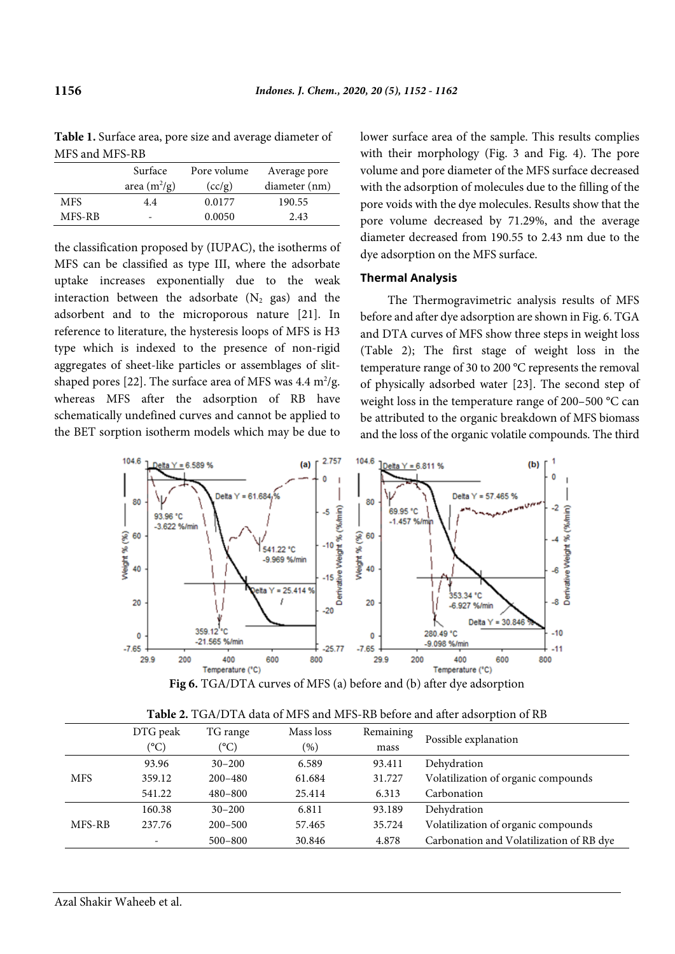| MITO AIIU MITO-RD |                          |             |               |  |  |  |  |
|-------------------|--------------------------|-------------|---------------|--|--|--|--|
|                   | Surface                  | Pore volume | Average pore  |  |  |  |  |
|                   | area $(m^2/g)$           | (cc/g)      | diameter (nm) |  |  |  |  |
| <b>MFS</b>        | 4.4                      | 0.0177      | 190.55        |  |  |  |  |
| MFS-RB            | $\overline{\phantom{0}}$ | 0.0050      | 2.43          |  |  |  |  |

**Table 1.** Surface area, pore size and average diameter of  $MFC = 1 MFC - DD$ 

the classification proposed by (IUPAC), the isotherms of MFS can be classified as type III, where the adsorbate uptake increases exponentially due to the weak interaction between the adsorbate  $(N_2$  gas) and the adsorbent and to the microporous nature [21]. In reference to literature, the hysteresis loops of MFS is H3 type which is indexed to the presence of non-rigid aggregates of sheet-like particles or assemblages of slitshaped pores [22]. The surface area of MFS was  $4.4 \text{ m}^2/\text{g}$ . whereas MFS after the adsorption of RB have schematically undefined curves and cannot be applied to the BET sorption isotherm models which may be due to

lower surface area of the sample. This results complies with their morphology (Fig. 3 and Fig. 4). The pore volume and pore diameter of the MFS surface decreased with the adsorption of molecules due to the filling of the pore voids with the dye molecules. Results show that the pore volume decreased by 71.29%, and the average diameter decreased from 190.55 to 2.43 nm due to the dye adsorption on the MFS surface.

## **Thermal Analysis**

The Thermogravimetric analysis results of MFS before and after dye adsorption are shown in Fig. 6. TGA and DTA curves of MFS show three steps in weight loss (Table 2); The first stage of weight loss in the temperature range of 30 to 200 °C represents the removal of physically adsorbed water [23]. The second step of weight loss in the temperature range of 200–500 °C can be attributed to the organic breakdown of MFS biomass and the loss of the organic volatile compounds. The third



| Fig 6. TGA/DTA curves of MFS (a) before and (b) after dye adsorption |  |  |
|----------------------------------------------------------------------|--|--|
|----------------------------------------------------------------------|--|--|

|            | DTG peak                 | TG range    | Mass loss | Remaining | Possible explanation                     |
|------------|--------------------------|-------------|-----------|-----------|------------------------------------------|
|            | (°C)                     | (°C)        | (%)       | mass      |                                          |
|            | 93.96                    | $30 - 200$  | 6.589     | 93.411    | Dehydration                              |
| <b>MFS</b> | 359.12                   | $200 - 480$ | 61.684    | 31.727    | Volatilization of organic compounds      |
|            | 541.22                   | $480 - 800$ | 25.414    | 6.313     | Carbonation                              |
|            | 160.38                   | $30 - 200$  | 6.811     | 93.189    | Dehydration                              |
| MFS-RB     | 237.76                   | $200 - 500$ | 57.465    | 35.724    | Volatilization of organic compounds      |
|            | $\overline{\phantom{a}}$ | $500 - 800$ | 30.846    | 4.878     | Carbonation and Volatilization of RB dye |

**Table 2.** TGA/DTA data of MFS and MFS-RB before and after adsorption of RB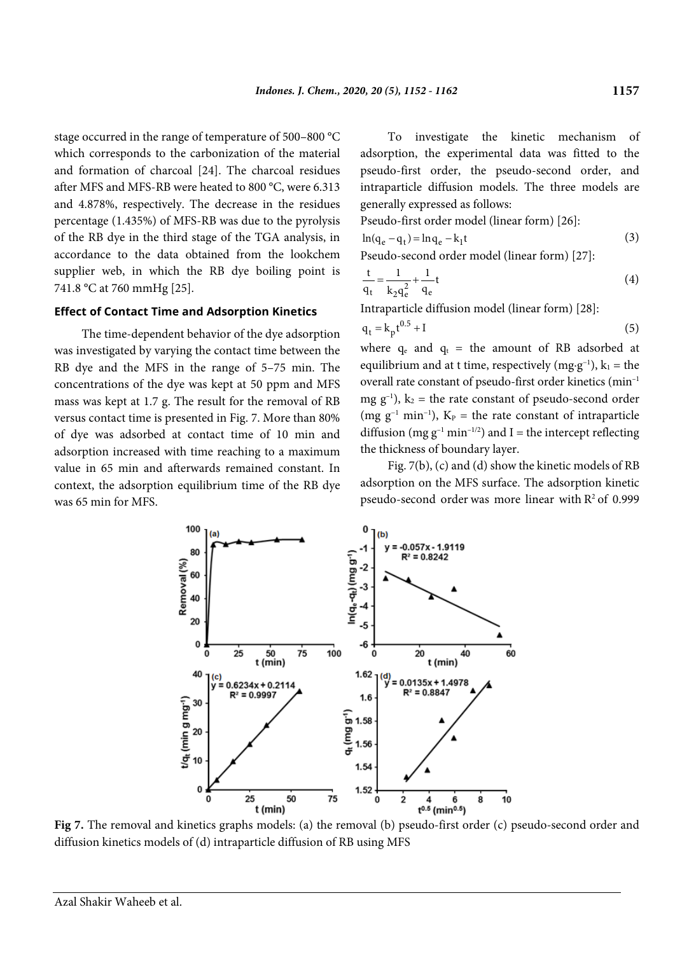stage occurred in the range of temperature of 500–800 °C which corresponds to the carbonization of the material and formation of charcoal [24]. The charcoal residues after MFS and MFS-RB were heated to 800 °C, were 6.313 and 4.878%, respectively. The decrease in the residues percentage (1.435%) of MFS-RB was due to the pyrolysis of the RB dye in the third stage of the TGA analysis, in accordance to the data obtained from the lookchem supplier web, in which the RB dye boiling point is 741.8 °C at 760 mmHg [25].

#### **Effect of Contact Time and Adsorption Kinetics**

The time-dependent behavior of the dye adsorption was investigated by varying the contact time between the RB dye and the MFS in the range of 5–75 min. The concentrations of the dye was kept at 50 ppm and MFS mass was kept at 1.7 g. The result for the removal of RB versus contact time is presented in Fig. 7. More than 80% of dye was adsorbed at contact time of 10 min and adsorption increased with time reaching to a maximum value in 65 min and afterwards remained constant. In context, the adsorption equilibrium time of the RB dye was 65 min for MFS.

To investigate the kinetic mechanism of adsorption, the experimental data was fitted to the pseudo-first order, the pseudo-second order, and intraparticle diffusion models. The three models are generally expressed as follows:

Pseudo-first order model (linear form) [26]:

$$
\ln(q_e - q_t) = \ln q_e - k_1 t \tag{3}
$$

Pseudo-second order model (linear form) [27]:

$$
\frac{t}{q_t} = \frac{1}{k_2 q_e^2} + \frac{1}{q_e}t
$$
 (4)

Intraparticle diffusion model (linear form) [28]:

$$
q_t = k_p t^{0.5} + I \tag{5}
$$

where  $q_e$  and  $q_t$  = the amount of RB adsorbed at equilibrium and at t time, respectively (mg·g<sup>-1</sup>),  $k_1$  = the overall rate constant of pseudo-first order kinetics (min–1 mg  $g^{-1}$ ),  $k_2$  = the rate constant of pseudo-second order (mg  $g^{-1}$  min<sup>-1</sup>), K<sub>P</sub> = the rate constant of intraparticle diffusion (mg  $g^{-1}$  min<sup>-1/2</sup>) and I = the intercept reflecting the thickness of boundary layer.

Fig. 7(b), (c) and (d) show the kinetic models of RB adsorption on the MFS surface. The adsorption kinetic pseudo-second order was more linear with  $R^2$  of 0.999



**Fig 7.** The removal and kinetics graphs models: (a) the removal (b) pseudo-first order (c) pseudo-second order and diffusion kinetics models of (d) intraparticle diffusion of RB using MFS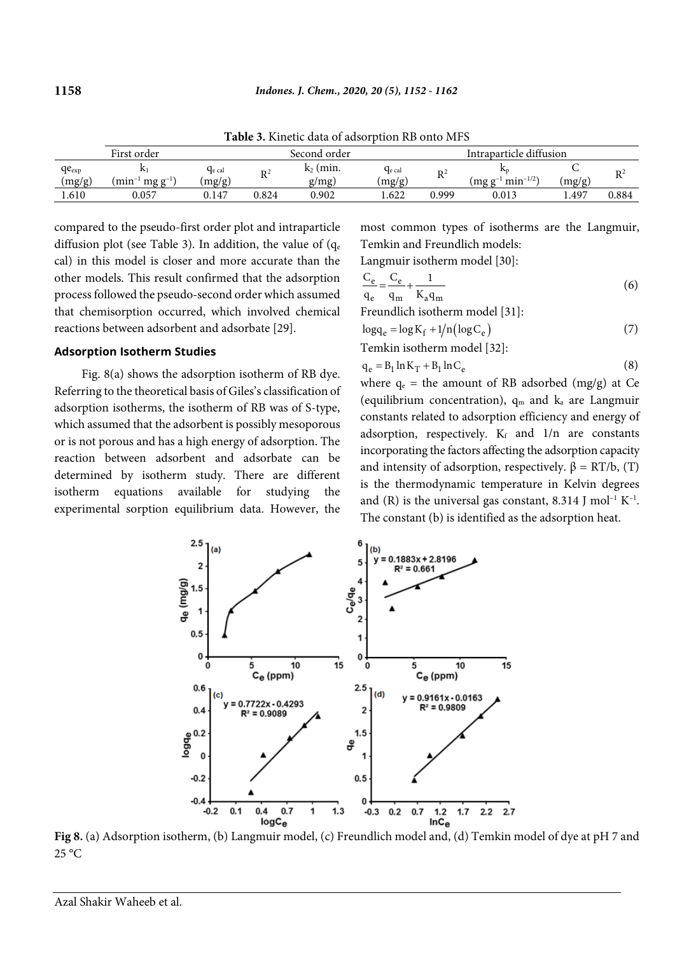|                      |                                 |                  |                | .                    |                       |                |                                    |                |                      |
|----------------------|---------------------------------|------------------|----------------|----------------------|-----------------------|----------------|------------------------------------|----------------|----------------------|
|                      | First order                     |                  |                | Second order         |                       |                | Intraparticle diffusion            |                |                      |
| $qe_{exp}$<br>(mg/g) | $min^{-1}$<br>$mg \varrho^{-1}$ | Ge cal<br>(mg/g) | $\mathbf{R}^2$ | $k_2$ (min.<br>g/mg) | $q_{e}$ cal<br>(mg/g) | $\mathbb{R}^2$ | Ar<br>$min^{-1/2}$<br>$(mg)$ $g^-$ | $\frac{mg}{g}$ | $\mathbf{D} \hat{z}$ |
| .610                 | 0.057                           | 0.147            | 0.824          | 0.902                | 1.622                 | 0.999          | 0.013                              | 4.497          | 0.884                |

**Table 3.** Kinetic data of adsorption RB onto MFS

compared to the pseudo-first order plot and intraparticle diffusion plot (see Table 3). In addition, the value of  $(q_e)$ cal) in this model is closer and more accurate than the other models. This result confirmed that the adsorption process followed the pseudo-second order which assumed that chemisorption occurred, which involved chemical reactions between adsorbent and adsorbate [29].

#### **Adsorption Isotherm Studies**

Fig. 8(a) shows the adsorption isotherm of RB dye. Referring to the theoretical basis of Giles's classification of adsorption isotherms, the isotherm of RB was of S-type, which assumed that the adsorbent is possibly mesoporous or is not porous and has a high energy of adsorption. The reaction between adsorbent and adsorbate can be determined by isotherm study. There are different isotherm equations available for studying the experimental sorption equilibrium data. However, the most common types of isotherms are the Langmuir, Temkin and Freundlich models:

Langmuir isotherm model [30]:

$$
\frac{C_e}{q_e} = \frac{C_e}{q_m} + \frac{1}{K_a q_m}
$$
 (6)  
Freundlich isotherm model [31]:

$$
\log q_e = \log K_f + 1/n \left( \log C_e \right) \tag{7}
$$

Temkin isotherm model [32]:

$$
q_e = B_1 \ln K_T + B_1 \ln C_e \tag{8}
$$

where  $q_e$  = the amount of RB adsorbed (mg/g) at Ce (equilibrium concentration),  $q_m$  and  $k_a$  are Langmuir constants related to adsorption efficiency and energy of adsorption, respectively.  $K_f$  and  $1/n$  are constants incorporating the factors affecting the adsorption capacity and intensity of adsorption, respectively.  $\beta = RT/b$ , (T) is the thermodynamic temperature in Kelvin degrees and (R) is the universal gas constant, 8.314 J mol<sup>-1</sup> K<sup>-1</sup>. The constant (b) is identified as the adsorption heat.



**Fig 8.** (a) Adsorption isotherm, (b) Langmuir model, (c) Freundlich model and, (d) Temkin model of dye at pH 7 and  $25^{\circ}$ C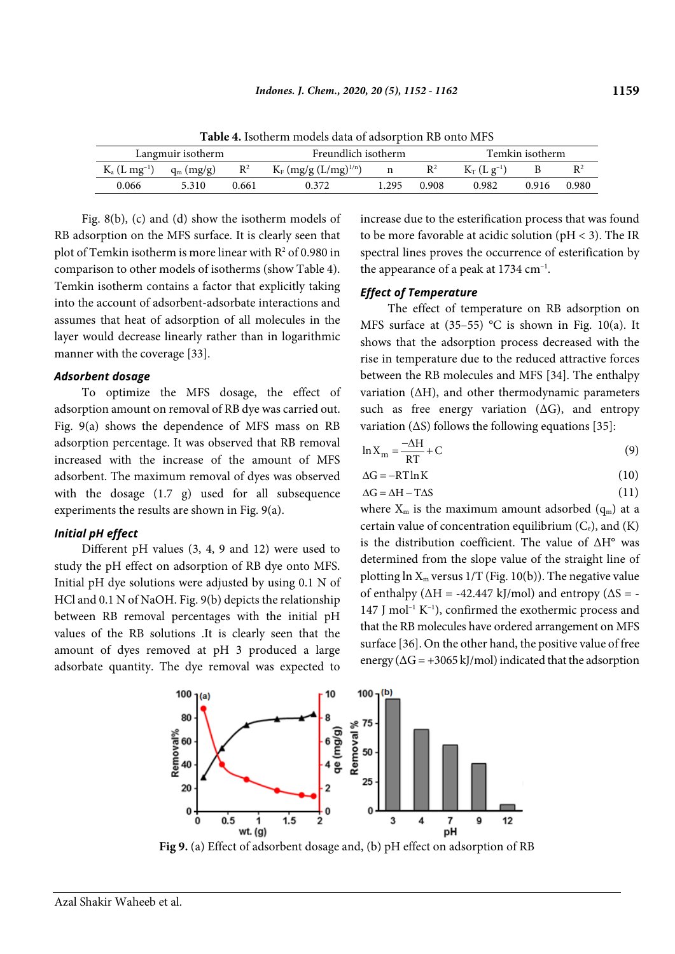| Langmuir isotherm             |                                |       | $\sim$ we see all the contracts the wave of www.craptions.craption is the c<br>Freundlich isotherm |      |                | Temkin isotherm |       |       |
|-------------------------------|--------------------------------|-------|----------------------------------------------------------------------------------------------------|------|----------------|-----------------|-------|-------|
| $K_{a}$ (L mg <sup>-1</sup> ) | $\mathbb{R}^2$<br>$q_m (mg/g)$ |       | $K_F$ (mg/g (L/mg) <sup>1/n</sup> )                                                                |      | $\mathbb{R}^2$ | $K_T(Lg^{-1})$  |       |       |
| 0.066                         | 5310                           | 0.661 | 0.372                                                                                              | .295 | 0.908          | 0.982           | 0.916 | 0.980 |

**Table 4.** Isotherm models data of adsorption RB onto MFS

Fig. 8(b), (c) and (d) show the isotherm models of RB adsorption on the MFS surface. It is clearly seen that plot of Temkin isotherm is more linear with  $R^2$  of 0.980 in comparison to other models of isotherms (show Table 4). Temkin isotherm contains a factor that explicitly taking into the account of adsorbent-adsorbate interactions and assumes that heat of adsorption of all molecules in the layer would decrease linearly rather than in logarithmic manner with the coverage [33].

#### *Adsorbent dosage*

To optimize the MFS dosage, the effect of adsorption amount on removal of RB dye was carried out. Fig. 9(a) shows the dependence of MFS mass on RB adsorption percentage. It was observed that RB removal increased with the increase of the amount of MFS adsorbent. The maximum removal of dyes was observed with the dosage (1.7 g) used for all subsequence experiments the results are shown in Fig. 9(a).

#### *Initial pH effect*

Different pH values (3, 4, 9 and 12) were used to study the pH effect on adsorption of RB dye onto MFS. Initial pH dye solutions were adjusted by using 0.1 N of HCl and 0.1 N of NaOH. Fig. 9(b) depicts the relationship between RB removal percentages with the initial pH values of the RB solutions .It is clearly seen that the amount of dyes removed at pH 3 produced a large adsorbate quantity. The dye removal was expected to increase due to the esterification process that was found to be more favorable at acidic solution (pH < 3). The IR spectral lines proves the occurrence of esterification by the appearance of a peak at  $1734 \text{ cm}^{-1}$ .

## *Effect of Temperature*

The effect of temperature on RB adsorption on MFS surface at  $(35-55)$  °C is shown in Fig. 10(a). It shows that the adsorption process decreased with the rise in temperature due to the reduced attractive forces between the RB molecules and MFS [34]. The enthalpy variation (∆H), and other thermodynamic parameters such as free energy variation  $(∆G)$ , and entropy variation (∆S) follows the following equations [35]:

$$
\ln X_{\rm m} = \frac{-\Delta H}{RT} + C \tag{9}
$$

$$
\Delta G = -RT \ln K \tag{10}
$$

$$
\Delta G = \Delta H - T\Delta S \tag{11}
$$

where  $X_m$  is the maximum amount adsorbed  $(q_m)$  at a certain value of concentration equilibrium  $(C_e)$ , and  $(K)$ is the distribution coefficient. The value of ∆H° was determined from the slope value of the straight line of plotting  $\ln X_m$  versus  $1/T$  (Fig. 10(b)). The negative value of enthalpy ( $\Delta H = -42.447$  kJ/mol) and entropy ( $\Delta S = -$ 147 J mol<sup>-1</sup> K<sup>-1</sup>), confirmed the exothermic process and that the RB molecules have ordered arrangement on MFS surface [36]. On the other hand, the positive value of free energy ( $\Delta G$  = +3065 kJ/mol) indicated that the adsorption



**Fig 9.** (a) Effect of adsorbent dosage and, (b) pH effect on adsorption of RB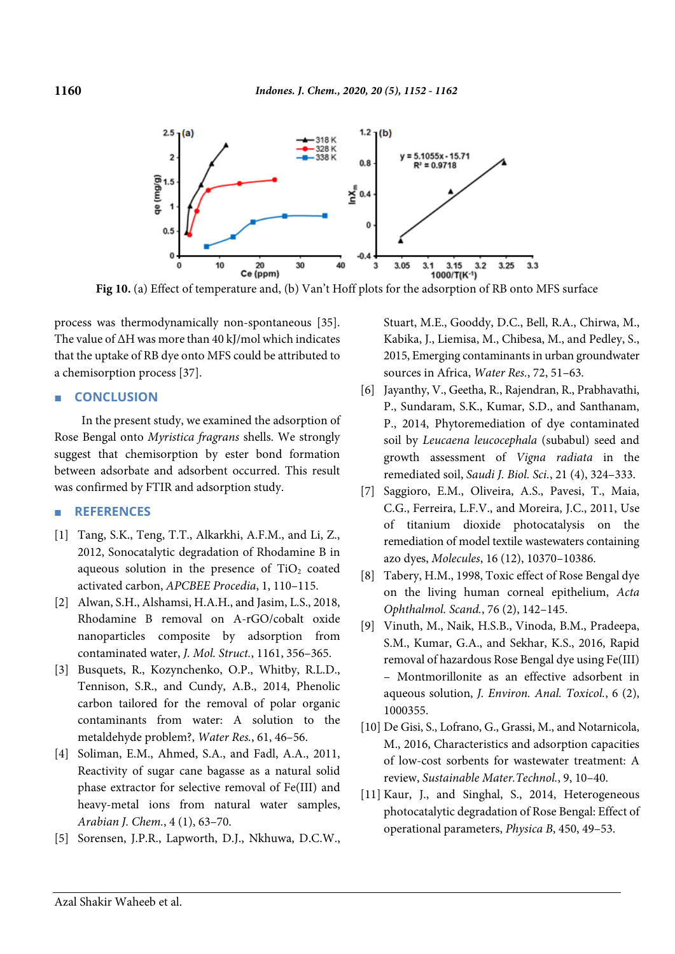

**Fig 10.** (a) Effect of temperature and, (b) Van't Hoff plots for the adsorption of RB onto MFS surface

process was thermodynamically non-spontaneous [35]. The value of ∆H was more than 40 kJ/mol which indicates that the uptake of RB dye onto MFS could be attributed to a chemisorption process [37].

#### ■ **CONCLUSION**

In the present study, we examined the adsorption of Rose Bengal onto *Myristica fragrans* shells. We strongly suggest that chemisorption by ester bond formation between adsorbate and adsorbent occurred. This result was confirmed by FTIR and adsorption study.

#### ■ **REFERENCES**

- [1] Tang, S.K., Teng, T.T., Alkarkhi, A.F.M., and Li, Z., 2012, Sonocatalytic degradation of Rhodamine B in aqueous solution in the presence of  $TiO<sub>2</sub>$  coated activated carbon, *APCBEE Procedia*, 1, 110–115.
- [2] Alwan, S.H., Alshamsi, H.A.H., and Jasim, L.S., 2018, Rhodamine B removal on A-rGO/cobalt oxide nanoparticles composite by adsorption from contaminated water, *J. Mol. Struct.*, 1161, 356–365.
- [3] Busquets, R., Kozynchenko, O.P., Whitby, R.L.D., Tennison, S.R., and Cundy, A.B., 2014, Phenolic carbon tailored for the removal of polar organic contaminants from water: A solution to the metaldehyde problem?, *Water Res.*, 61, 46–56.
- [4] Soliman, E.M., Ahmed, S.A., and Fadl, A.A., 2011, Reactivity of sugar cane bagasse as a natural solid phase extractor for selective removal of Fe(III) and heavy-metal ions from natural water samples, *Arabian J. Chem.*, 4 (1), 63–70.
- [5] Sorensen, J.P.R., Lapworth, D.J., Nkhuwa, D.C.W.,

Stuart, M.E., Gooddy, D.C., Bell, R.A., Chirwa, M., Kabika, J., Liemisa, M., Chibesa, M., and Pedley, S., 2015, Emerging contaminants in urban groundwater sources in Africa, *Water Res.*, 72, 51–63.

- [6] Jayanthy, V., Geetha, R., Rajendran, R., Prabhavathi, P., Sundaram, S.K., Kumar, S.D., and Santhanam, P., 2014, Phytoremediation of dye contaminated soil by *Leucaena leucocephala* (subabul) seed and growth assessment of *Vigna radiata* in the remediated soil, *Saudi J. Biol. Sci.*, 21 (4), 324–333.
- [7] Saggioro, E.M., Oliveira, A.S., Pavesi, T., Maia, C.G., Ferreira, L.F.V., and Moreira, J.C., 2011, Use of titanium dioxide photocatalysis on the remediation of model textile wastewaters containing azo dyes, *Molecules*, 16 (12), 10370–10386.
- [8] Tabery, H.M., 1998, Toxic effect of Rose Bengal dye on the living human corneal epithelium, *Acta Ophthalmol. Scand.*, 76 (2), 142–145.
- [9] Vinuth, M., Naik, H.S.B., Vinoda, B.M., Pradeepa, S.M., Kumar, G.A., and Sekhar, K.S., 2016, Rapid removal of hazardous Rose Bengal dye using Fe(III) – Montmorillonite as an effective adsorbent in aqueous solution, *J. Environ. Anal. Toxicol.*, 6 (2), 1000355.
- [10] De Gisi, S., Lofrano, G., Grassi, M., and Notarnicola, M., 2016, Characteristics and adsorption capacities of low-cost sorbents for wastewater treatment: A review, *Sustainable Mater.Technol.*, 9, 10–40.
- [11] Kaur, J., and Singhal, S., 2014, Heterogeneous photocatalytic degradation of Rose Bengal: Effect of operational parameters, *Physica B*, 450, 49–53.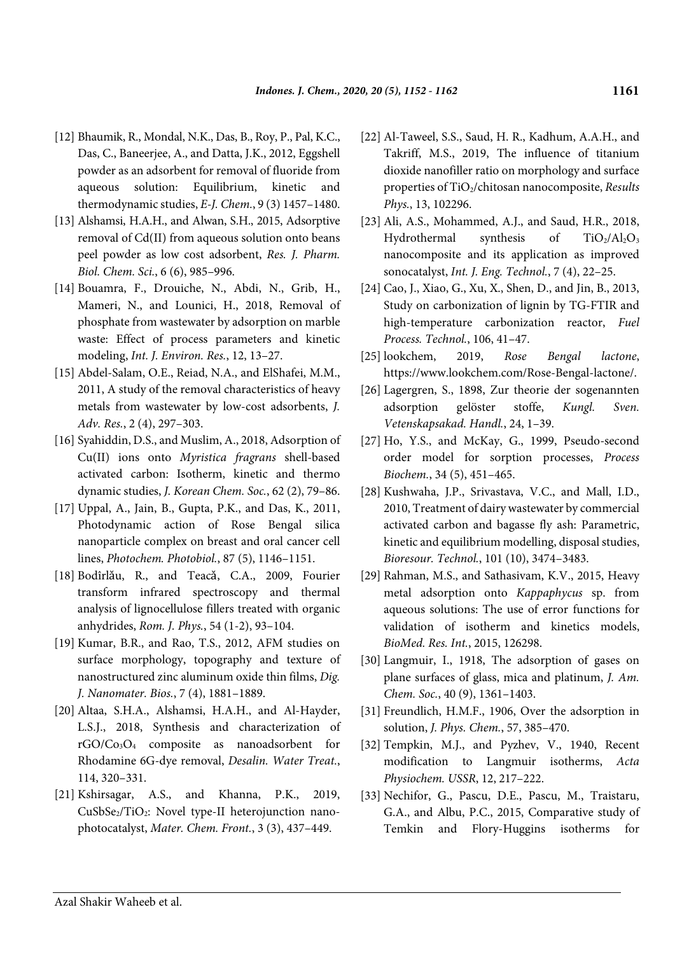- [12] Bhaumik, R., Mondal, N.K., Das, B., Roy, P., Pal, K.C., Das, C., Baneerjee, A., and Datta, J.K., 2012, Eggshell powder as an adsorbent for removal of fluoride from aqueous solution: Equilibrium, kinetic and thermodynamic studies, *E-J. Chem.*, 9 (3) 1457–1480.
- [13] Alshamsi, H.A.H., and Alwan, S.H., 2015, Adsorptive removal of Cd(II) from aqueous solution onto beans peel powder as low cost adsorbent, *Res. J. Pharm. Biol. Chem. Sci.*, 6 (6), 985–996.
- [14] Bouamra, F., Drouiche, N., Abdi, N., Grib, H., Mameri, N., and Lounici, H., 2018, Removal of phosphate from wastewater by adsorption on marble waste: Effect of process parameters and kinetic modeling, *Int. J. Environ. Res.*, 12, 13–27.
- [15] Abdel-Salam, O.E., Reiad, N.A., and ElShafei, M.M., 2011, A study of the removal characteristics of heavy metals from wastewater by low-cost adsorbents, *J. Adv. Res.*, 2 (4), 297–303.
- [16] Syahiddin, D.S., and Muslim, A., 2018, Adsorption of Cu(II) ions onto *Myristica fragrans* shell-based activated carbon: Isotherm, kinetic and thermo dynamic studies, *J. Korean Chem. Soc.*, 62 (2), 79–86.
- [17] Uppal, A., Jain, B., Gupta, P.K., and Das, K., 2011, Photodynamic action of Rose Bengal silica nanoparticle complex on breast and oral cancer cell lines, *Photochem. Photobiol.*, 87 (5), 1146–1151.
- [18] Bodîrlǎu, R., and Teacǎ, C.A., 2009, Fourier transform infrared spectroscopy and thermal analysis of lignocellulose fillers treated with organic anhydrides, *Rom. J. Phys.*, 54 (1-2), 93–104.
- [19] Kumar, B.R., and Rao, T.S., 2012, AFM studies on surface morphology, topography and texture of nanostructured zinc aluminum oxide thin films, *Dig. J. Nanomater. Bios.*, 7 (4), 1881–1889.
- [20] Altaa, S.H.A., Alshamsi, H.A.H., and Al-Hayder, L.S.J., 2018, Synthesis and characterization of rGO/Co3O4 composite as nanoadsorbent for Rhodamine 6G-dye removal, *Desalin. Water Treat.*, 114, 320–331.
- [21] Kshirsagar, A.S., and Khanna, P.K., 2019, CuSbSe<sub>2</sub>/TiO<sub>2</sub>: Novel type-II heterojunction nanophotocatalyst, *Mater. Chem. Front.*, 3 (3), 437–449.
- [22] Al-Taweel, S.S., Saud, H. R., Kadhum, A.A.H., and Takriff, M.S., 2019, The influence of titanium dioxide nanofiller ratio on morphology and surface properties of TiO2/chitosan nanocomposite, *Results Phys.*, 13, 102296.
- [23] Ali, A.S., Mohammed, A.J., and Saud, H.R., 2018, Hydrothermal synthesis of  $TiO<sub>2</sub>/Al<sub>2</sub>O<sub>3</sub>$ nanocomposite and its application as improved sonocatalyst, *Int. J. Eng. Technol.*, 7 (4), 22–25.
- [24] Cao, J., Xiao, G., Xu, X., Shen, D., and Jin, B., 2013, Study on carbonization of lignin by TG-FTIR and high-temperature carbonization reactor, *Fuel Process. Technol.*, 106, 41–47.
- [25] lookchem, 2019, *Rose Bengal lactone*, https://www.lookchem.com/Rose-Bengal-lactone/.
- [26] Lagergren, S., 1898, Zur theorie der sogenannten adsorption gelöster stoffe, *Kungl. Sven. Vetenskapsakad. Handl.*, 24, 1–39.
- [27] Ho, Y.S., and McKay, G., 1999, Pseudo-second order model for sorption processes, *Process Biochem.*, 34 (5), 451–465.
- [28] Kushwaha, J.P., Srivastava, V.C., and Mall, I.D., 2010, Treatment of dairy wastewater by commercial activated carbon and bagasse fly ash: Parametric, kinetic and equilibrium modelling, disposal studies, *Bioresour. Technol.*, 101 (10), 3474–3483.
- [29] Rahman, M.S., and Sathasivam, K.V., 2015, Heavy metal adsorption onto *Kappaphycus* sp. from aqueous solutions: The use of error functions for validation of isotherm and kinetics models, *BioMed. Res. Int.*, 2015, 126298.
- [30] Langmuir, I., 1918, The adsorption of gases on plane surfaces of glass, mica and platinum, *J. Am. Chem. Soc.*, 40 (9), 1361–1403.
- [31] Freundlich, H.M.F., 1906, Over the adsorption in solution, *J. Phys. Chem.*, 57, 385–470.
- [32] Tempkin, M.J., and Pyzhev, V., 1940, Recent modification to Langmuir isotherms, *Acta Physiochem. USSR*, 12, 217–222.
- [33] Nechifor, G., Pascu, D.E., Pascu, M., Traistaru, G.A., and Albu, P.C., 2015, Comparative study of Temkin and Flory-Huggins isotherms for